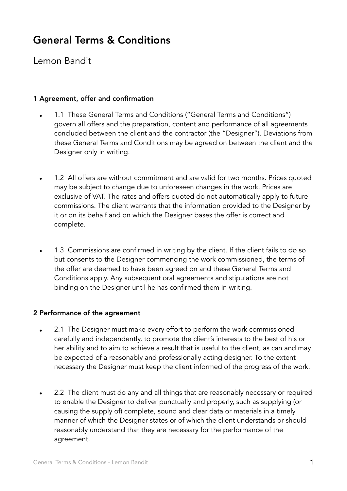# General Terms & Conditions

Lemon Bandit

## 1 Agreement, offer and confirmation

- 1.1 These General Terms and Conditions ("General Terms and Conditions") govern all offers and the preparation, content and performance of all agreements concluded between the client and the contractor (the "Designer"). Deviations from these General Terms and Conditions may be agreed on between the client and the Designer only in writing.
- 1.2 All offers are without commitment and are valid for two months. Prices quoted may be subject to change due to unforeseen changes in the work. Prices are exclusive of VAT. The rates and offers quoted do not automatically apply to future commissions. The client warrants that the information provided to the Designer by it or on its behalf and on which the Designer bases the offer is correct and complete.
- 1.3 Commissions are confirmed in writing by the client. If the client fails to do so but consents to the Designer commencing the work commissioned, the terms of the offer are deemed to have been agreed on and these General Terms and Conditions apply. Any subsequent oral agreements and stipulations are not binding on the Designer until he has confirmed them in writing.

#### 2 Performance of the agreement

- 2.1 The Designer must make every effort to perform the work commissioned carefully and independently, to promote the client's interests to the best of his or her ability and to aim to achieve a result that is useful to the client, as can and may be expected of a reasonably and professionally acting designer. To the extent necessary the Designer must keep the client informed of the progress of the work.
- 2.2 The client must do any and all things that are reasonably necessary or required to enable the Designer to deliver punctually and properly, such as supplying (or causing the supply of) complete, sound and clear data or materials in a timely manner of which the Designer states or of which the client understands or should reasonably understand that they are necessary for the performance of the agreement.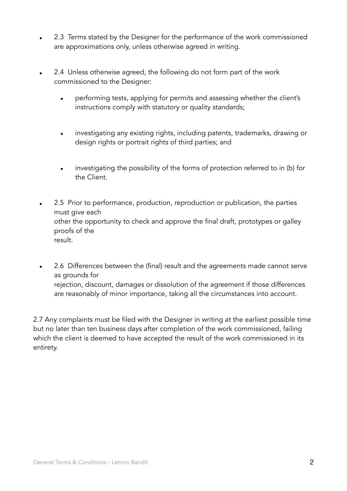- 2.3 Terms stated by the Designer for the performance of the work commissioned are approximations only, unless otherwise agreed in writing.
- 2.4 Unless otherwise agreed, the following do not form part of the work commissioned to the Designer:
	- performing tests, applying for permits and assessing whether the client's instructions comply with statutory or quality standards;
	- investigating any existing rights, including patents, trademarks, drawing or design rights or portrait rights of third parties; and
	- investigating the possibility of the forms of protection referred to in (b) for the Client.
- 2.5 Prior to performance, production, reproduction or publication, the parties must give each other the opportunity to check and approve the final draft, prototypes or galley proofs of the result.
- 2.6 Differences between the (final) result and the agreements made cannot serve as grounds for rejection, discount, damages or dissolution of the agreement if those differences are reasonably of minor importance, taking all the circumstances into account.

2.7 Any complaints must be filed with the Designer in writing at the earliest possible time but no later than ten business days after completion of the work commissioned, failing which the client is deemed to have accepted the result of the work commissioned in its entirety.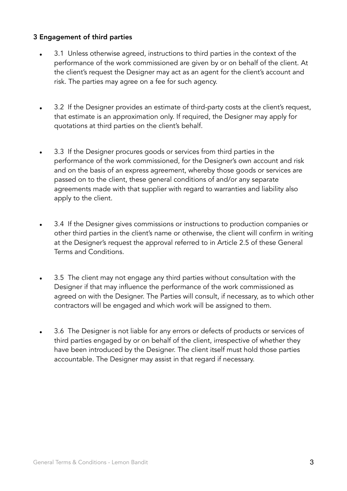## 3 Engagement of third parties

- 3.1 Unless otherwise agreed, instructions to third parties in the context of the performance of the work commissioned are given by or on behalf of the client. At the client's request the Designer may act as an agent for the client's account and risk. The parties may agree on a fee for such agency.
- 3.2 If the Designer provides an estimate of third-party costs at the client's request, that estimate is an approximation only. If required, the Designer may apply for quotations at third parties on the client's behalf.
- 3.3 If the Designer procures goods or services from third parties in the performance of the work commissioned, for the Designer's own account and risk and on the basis of an express agreement, whereby those goods or services are passed on to the client, these general conditions of and/or any separate agreements made with that supplier with regard to warranties and liability also apply to the client.
- 3.4 If the Designer gives commissions or instructions to production companies or other third parties in the client's name or otherwise, the client will confirm in writing at the Designer's request the approval referred to in Article 2.5 of these General Terms and Conditions.
- 3.5 The client may not engage any third parties without consultation with the Designer if that may influence the performance of the work commissioned as agreed on with the Designer. The Parties will consult, if necessary, as to which other contractors will be engaged and which work will be assigned to them.
- 3.6 The Designer is not liable for any errors or defects of products or services of third parties engaged by or on behalf of the client, irrespective of whether they have been introduced by the Designer. The client itself must hold those parties accountable. The Designer may assist in that regard if necessary.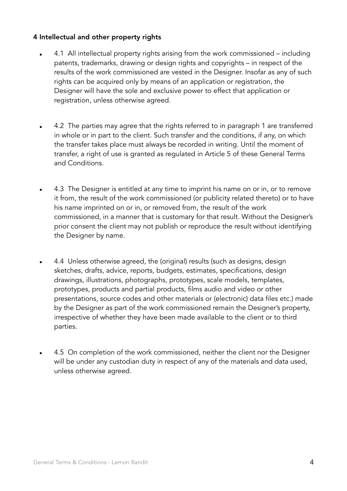## 4 Intellectual and other property rights

- 4.1 All intellectual property rights arising from the work commissioned including patents, trademarks, drawing or design rights and copyrights – in respect of the results of the work commissioned are vested in the Designer. Insofar as any of such rights can be acquired only by means of an application or registration, the Designer will have the sole and exclusive power to effect that application or registration, unless otherwise agreed.
- 4.2 The parties may agree that the rights referred to in paragraph 1 are transferred in whole or in part to the client. Such transfer and the conditions, if any, on which the transfer takes place must always be recorded in writing. Until the moment of transfer, a right of use is granted as regulated in Article 5 of these General Terms and Conditions.
- 4.3 The Designer is entitled at any time to imprint his name on or in, or to remove it from, the result of the work commissioned (or publicity related thereto) or to have his name imprinted on or in, or removed from, the result of the work commissioned, in a manner that is customary for that result. Without the Designer's prior consent the client may not publish or reproduce the result without identifying the Designer by name.
- 4.4 Unless otherwise agreed, the (original) results (such as designs, design sketches, drafts, advice, reports, budgets, estimates, specifications, design drawings, illustrations, photographs, prototypes, scale models, templates, prototypes, products and partial products, films audio and video or other presentations, source codes and other materials or (electronic) data files etc.) made by the Designer as part of the work commissioned remain the Designer's property, irrespective of whether they have been made available to the client or to third parties.
- 4.5 On completion of the work commissioned, neither the client nor the Designer will be under any custodian duty in respect of any of the materials and data used, unless otherwise agreed.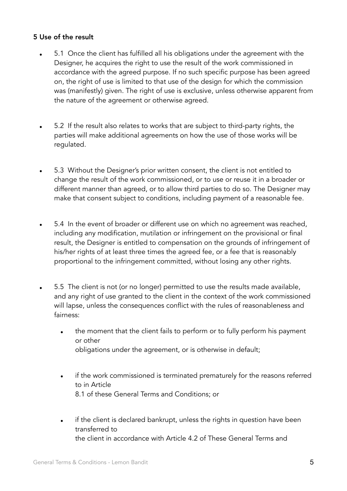#### 5 Use of the result

- 5.1 Once the client has fulfilled all his obligations under the agreement with the Designer, he acquires the right to use the result of the work commissioned in accordance with the agreed purpose. If no such specific purpose has been agreed on, the right of use is limited to that use of the design for which the commission was (manifestly) given. The right of use is exclusive, unless otherwise apparent from the nature of the agreement or otherwise agreed.
- 5.2 If the result also relates to works that are subject to third-party rights, the parties will make additional agreements on how the use of those works will be regulated.
- 5.3 Without the Designer's prior written consent, the client is not entitled to change the result of the work commissioned, or to use or reuse it in a broader or different manner than agreed, or to allow third parties to do so. The Designer may make that consent subject to conditions, including payment of a reasonable fee.
- 5.4 In the event of broader or different use on which no agreement was reached, including any modification, mutilation or infringement on the provisional or final result, the Designer is entitled to compensation on the grounds of infringement of his/her rights of at least three times the agreed fee, or a fee that is reasonably proportional to the infringement committed, without losing any other rights.
- 5.5 The client is not (or no longer) permitted to use the results made available, and any right of use granted to the client in the context of the work commissioned will lapse, unless the consequences conflict with the rules of reasonableness and fairness:
	- the moment that the client fails to perform or to fully perform his payment or other obligations under the agreement, or is otherwise in default;
	- if the work commissioned is terminated prematurely for the reasons referred to in Article 8.1 of these General Terms and Conditions; or
	- if the client is declared bankrupt, unless the rights in question have been transferred to the client in accordance with Article 4.2 of These General Terms and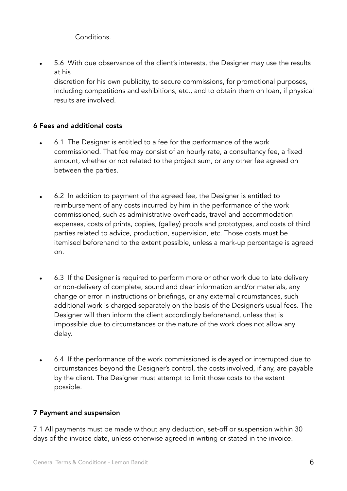Conditions.

• 5.6 With due observance of the client's interests, the Designer may use the results at his

discretion for his own publicity, to secure commissions, for promotional purposes, including competitions and exhibitions, etc., and to obtain them on loan, if physical results are involved.

## 6 Fees and additional costs

- 6.1 The Designer is entitled to a fee for the performance of the work commissioned. That fee may consist of an hourly rate, a consultancy fee, a fixed amount, whether or not related to the project sum, or any other fee agreed on between the parties.
- 6.2 In addition to payment of the agreed fee, the Designer is entitled to reimbursement of any costs incurred by him in the performance of the work commissioned, such as administrative overheads, travel and accommodation expenses, costs of prints, copies, (galley) proofs and prototypes, and costs of third parties related to advice, production, supervision, etc. Those costs must be itemised beforehand to the extent possible, unless a mark-up percentage is agreed on.
- 6.3 If the Designer is required to perform more or other work due to late delivery or non-delivery of complete, sound and clear information and/or materials, any change or error in instructions or briefings, or any external circumstances, such additional work is charged separately on the basis of the Designer's usual fees. The Designer will then inform the client accordingly beforehand, unless that is impossible due to circumstances or the nature of the work does not allow any delay.
- 6.4 If the performance of the work commissioned is delayed or interrupted due to circumstances beyond the Designer's control, the costs involved, if any, are payable by the client. The Designer must attempt to limit those costs to the extent possible.

#### 7 Payment and suspension

7.1 All payments must be made without any deduction, set-off or suspension within 30 days of the invoice date, unless otherwise agreed in writing or stated in the invoice.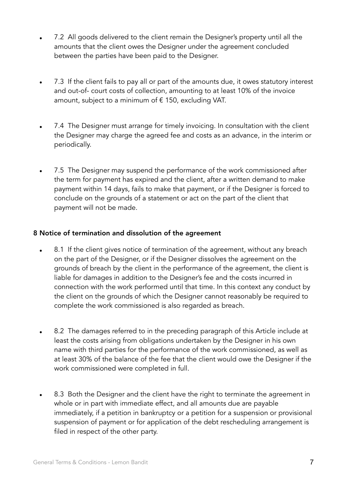- 7.2 All goods delivered to the client remain the Designer's property until all the amounts that the client owes the Designer under the agreement concluded between the parties have been paid to the Designer.
- 7.3 If the client fails to pay all or part of the amounts due, it owes statutory interest and out-of- court costs of collection, amounting to at least 10% of the invoice amount, subject to a minimum of  $\epsilon$  150, excluding VAT.
- 7.4 The Designer must arrange for timely invoicing. In consultation with the client the Designer may charge the agreed fee and costs as an advance, in the interim or periodically.
- 7.5 The Designer may suspend the performance of the work commissioned after the term for payment has expired and the client, after a written demand to make payment within 14 days, fails to make that payment, or if the Designer is forced to conclude on the grounds of a statement or act on the part of the client that payment will not be made.

## 8 Notice of termination and dissolution of the agreement

- 8.1 If the client gives notice of termination of the agreement, without any breach on the part of the Designer, or if the Designer dissolves the agreement on the grounds of breach by the client in the performance of the agreement, the client is liable for damages in addition to the Designer's fee and the costs incurred in connection with the work performed until that time. In this context any conduct by the client on the grounds of which the Designer cannot reasonably be required to complete the work commissioned is also regarded as breach.
- 8.2 The damages referred to in the preceding paragraph of this Article include at least the costs arising from obligations undertaken by the Designer in his own name with third parties for the performance of the work commissioned, as well as at least 30% of the balance of the fee that the client would owe the Designer if the work commissioned were completed in full.
- 8.3 Both the Designer and the client have the right to terminate the agreement in whole or in part with immediate effect, and all amounts due are payable immediately, if a petition in bankruptcy or a petition for a suspension or provisional suspension of payment or for application of the debt rescheduling arrangement is filed in respect of the other party.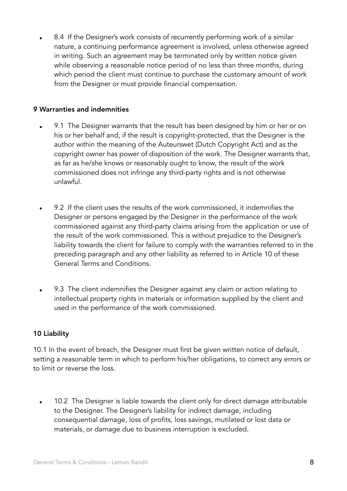• 8.4 If the Designer's work consists of recurrently performing work of a similar nature, a continuing performance agreement is involved, unless otherwise agreed in writing. Such an agreement may be terminated only by written notice given while observing a reasonable notice period of no less than three months, during which period the client must continue to purchase the customary amount of work from the Designer or must provide financial compensation.

#### 9 Warranties and indemnities

- 9.1 The Designer warrants that the result has been designed by him or her or on his or her behalf and, if the result is copyright-protected, that the Designer is the author within the meaning of the Auteurswet (Dutch Copyright Act) and as the copyright owner has power of disposition of the work. The Designer warrants that, as far as he/she knows or reasonably ought to know, the result of the work commissioned does not infringe any third-party rights and is not otherwise unlawful.
- 9.2 If the client uses the results of the work commissioned, it indemnifies the Designer or persons engaged by the Designer in the performance of the work commissioned against any third-party claims arising from the application or use of the result of the work commissioned. This is without prejudice to the Designer's liability towards the client for failure to comply with the warranties referred to in the preceding paragraph and any other liability as referred to in Article 10 of these General Terms and Conditions.
- 9.3 The client indemnifies the Designer against any claim or action relating to intellectual property rights in materials or information supplied by the client and used in the performance of the work commissioned.

## 10 Liability

10.1 In the event of breach, the Designer must first be given written notice of default, setting a reasonable term in which to perform his/her obligations, to correct any errors or to limit or reverse the loss.

10.2 The Designer is liable towards the client only for direct damage attributable to the Designer. The Designer's liability for indirect damage, including consequential damage, loss of profits, loss savings, mutilated or lost data or materials, or damage due to business interruption is excluded.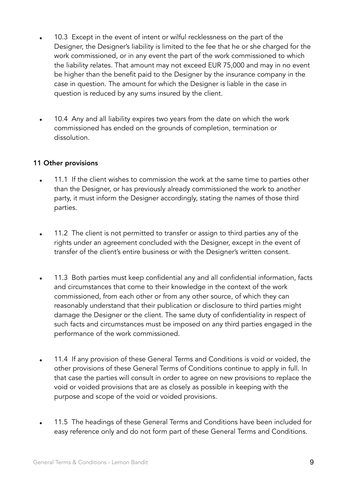- 10.3 Except in the event of intent or wilful recklessness on the part of the Designer, the Designer's liability is limited to the fee that he or she charged for the work commissioned, or in any event the part of the work commissioned to which the liability relates. That amount may not exceed EUR 75,000 and may in no event be higher than the benefit paid to the Designer by the insurance company in the case in question. The amount for which the Designer is liable in the case in question is reduced by any sums insured by the client.
- 10.4 Any and all liability expires two years from the date on which the work commissioned has ended on the grounds of completion, termination or dissolution.

#### 11 Other provisions

- 11.1 If the client wishes to commission the work at the same time to parties other than the Designer, or has previously already commissioned the work to another party, it must inform the Designer accordingly, stating the names of those third parties.
- 11.2 The client is not permitted to transfer or assign to third parties any of the rights under an agreement concluded with the Designer, except in the event of transfer of the client's entire business or with the Designer's written consent.
- 11.3 Both parties must keep confidential any and all confidential information, facts and circumstances that come to their knowledge in the context of the work commissioned, from each other or from any other source, of which they can reasonably understand that their publication or disclosure to third parties might damage the Designer or the client. The same duty of confidentiality in respect of such facts and circumstances must be imposed on any third parties engaged in the performance of the work commissioned.
- 11.4 If any provision of these General Terms and Conditions is void or voided, the other provisions of these General Terms of Conditions continue to apply in full. In that case the parties will consult in order to agree on new provisions to replace the void or voided provisions that are as closely as possible in keeping with the purpose and scope of the void or voided provisions.
- 11.5 The headings of these General Terms and Conditions have been included for easy reference only and do not form part of these General Terms and Conditions.